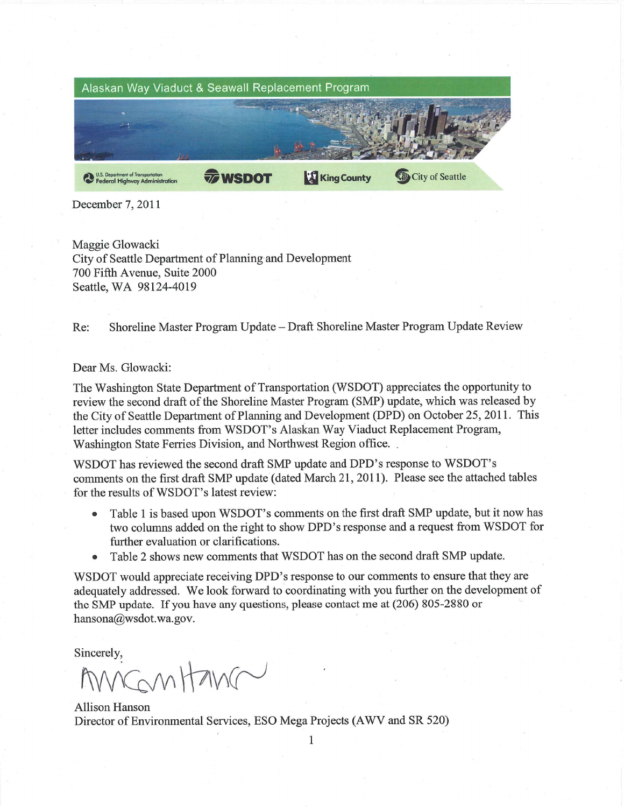

December 7, 2011

Maggie Glowacki City of Seattle Department of Planning and Development 700 Fifth Avenue, Suite 2000 Seattle, WA 98124-4019

Shoreline Master Program Update - Draft Shoreline Master Program Update Review Re:

## Dear Ms. Glowacki:

The Washington State Department of Transportation (WSDOT) appreciates the opportunity to review the second draft of the Shoreline Master Program (SMP) update, which was released by the City of Seattle Department of Planning and Development (DPD) on October 25, 2011. This letter includes comments from WSDOT's Alaskan Way Viaduct Replacement Program, Washington State Ferries Division, and Northwest Region office.

WSDOT has reviewed the second draft SMP update and DPD's response to WSDOT's comments on the first draft SMP update (dated March 21, 2011). Please see the attached tables for the results of WSDOT's latest review:

- Table 1 is based upon WSDOT's comments on the first draft SMP update, but it now has  $\bullet$ two columns added on the right to show DPD's response and a request from WSDOT for further evaluation or clarifications.
- Table 2 shows new comments that WSDOT has on the second draft SMP update.

WSDOT would appreciate receiving DPD's response to our comments to ensure that they are adequately addressed. We look forward to coordinating with you further on the development of the SMP update. If you have any questions, please contact me at  $(206) 805-2880$  or hansona@wsdot.wa.gov.

Sincerely,

ngnitang

**Allison Hanson** Director of Environmental Services, ESO Mega Projects (AWV and SR 520)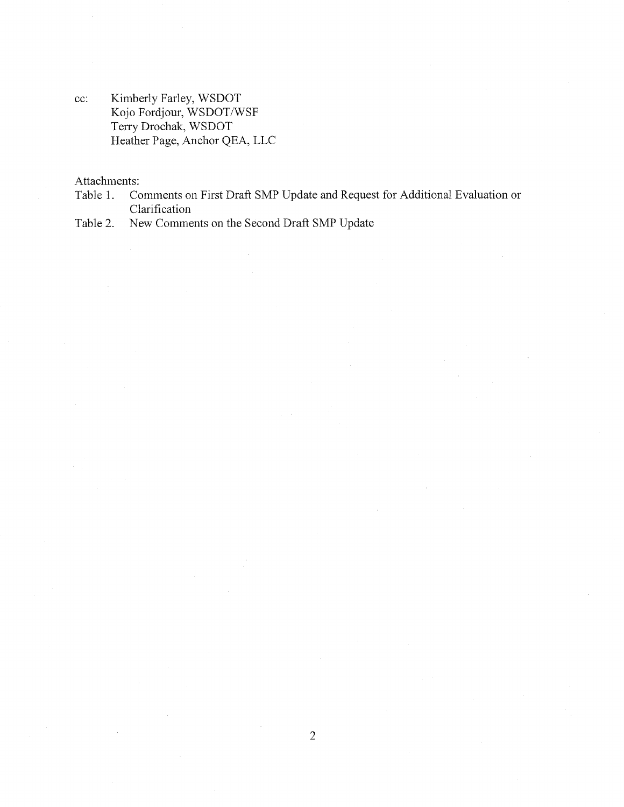Kimberly Farley, WSDOT  $cc$ : Kojo Fordjour, WSDOT/WSF Terry Drochak, WSDOT Heather Page, Anchor QEA, LLC

Attachments:

Comments on First Draft SMP Update and Request for Additional Evaluation or Table 1. Clarification

New Comments on the Second Draft SMP Update Table 2.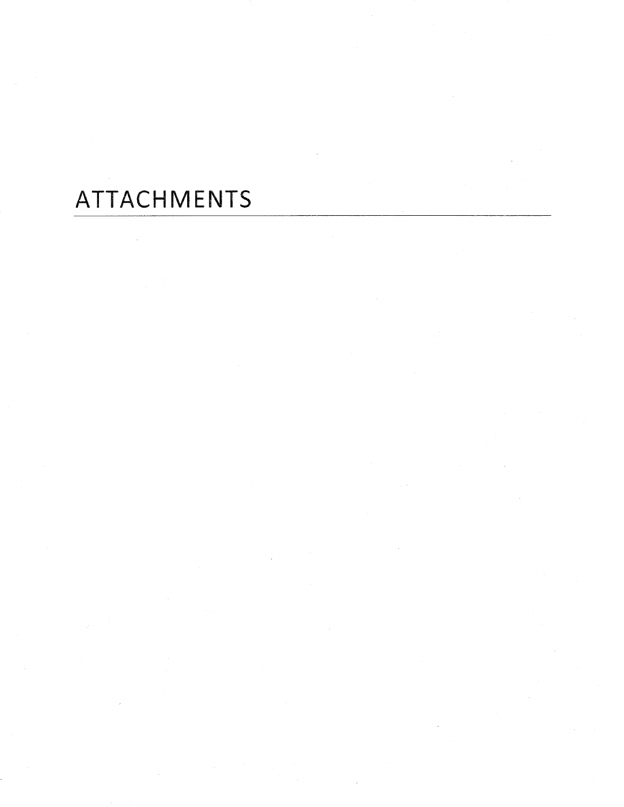## ATTACHMENTS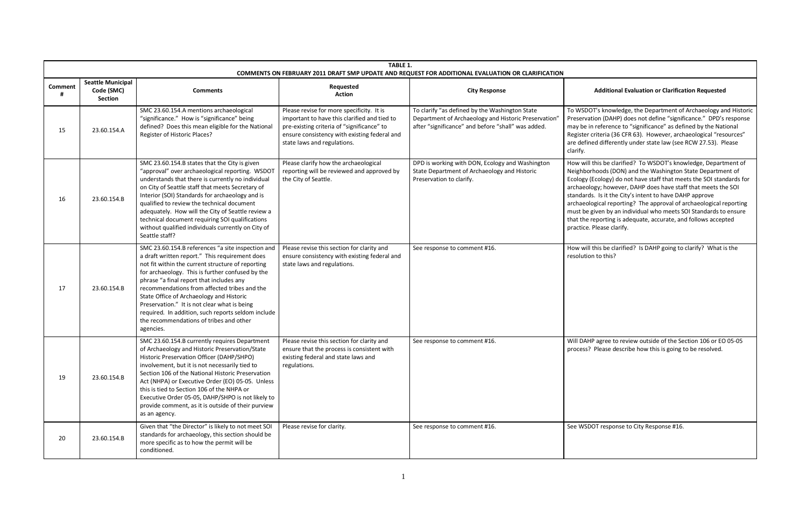## **Action City Response Additional Evaluation or Clarification Requested**

T's knowledge, the Department of Archaeology and Historic tion (DAHP) does not define "significance." DPD's response reference to "significance" as defined by the National criteria (36 CFR 63). However, archaeological "resources" ed differently under state law (see RCW 27.53). Please

this be clarified? To WSDOT's knowledge, Department of rhoods (DON) and the Washington State Department of Ecology) do not have staff that meets the SOI standards for ogy; however, DAHP does have staff that meets the SOI s. Is it the City's intent to have DAHP approve ogical reporting? The approval of archaeological reporting given by an individual who meets SOI Standards to ensure reporting is adequate, accurate, and follows accepted Please clarify.

this be clarified? Is DAHP going to clarify? What is the n to this?

P agree to review outside of the Section 106 or EO 05-05 Please describe how this is going to be resolved.

**POT response to City Response #16.** 

|              | <b>TABLE 1.</b><br>COMMENTS ON FEBRUARY 2011 DRAFT SMP UPDATE AND REQUEST FOR ADDITIONAL EVALUATION OR CLARIFICATION |                                                                                                                                                                                                                                                                                                                                                                                                                                                                                                                    |                                                                                                                                                                                                                        |                                                                                                                                                              |                                                                                                                      |
|--------------|----------------------------------------------------------------------------------------------------------------------|--------------------------------------------------------------------------------------------------------------------------------------------------------------------------------------------------------------------------------------------------------------------------------------------------------------------------------------------------------------------------------------------------------------------------------------------------------------------------------------------------------------------|------------------------------------------------------------------------------------------------------------------------------------------------------------------------------------------------------------------------|--------------------------------------------------------------------------------------------------------------------------------------------------------------|----------------------------------------------------------------------------------------------------------------------|
| Comment<br># | <b>Seattle Municipal</b><br>Code (SMC)<br>Section                                                                    | <b>Comments</b>                                                                                                                                                                                                                                                                                                                                                                                                                                                                                                    | Requested<br><b>Action</b>                                                                                                                                                                                             | <b>City Response</b>                                                                                                                                         |                                                                                                                      |
| 15           | 23.60.154.A                                                                                                          | SMC 23.60.154.A mentions archaeological<br>"significance." How is "significance" being<br>defined? Does this mean eligible for the National<br>Register of Historic Places?                                                                                                                                                                                                                                                                                                                                        | Please revise for more specificity. It is<br>important to have this clarified and tied to<br>pre-existing criteria of "significance" to<br>ensure consistency with existing federal and<br>state laws and regulations. | To clarify "as defined by the Washington State<br>Department of Archaeology and Historic Preservation'<br>after "significance" and before "shall" was added. | To WSDO<br>Preservat<br>may be in<br>Register c<br>are define<br>clarify.                                            |
| 16           | 23.60.154.B                                                                                                          | SMC 23.60.154.B states that the City is given<br>"approval" over archaeological reporting. WSDOT<br>understands that there is currently no individual<br>on City of Seattle staff that meets Secretary of<br>Interior (SOI) Standards for archaeology and is<br>qualified to review the technical document<br>adequately. How will the City of Seattle review a<br>technical document requiring SOI qualifications<br>without qualified individuals currently on City of<br>Seattle staff?                         | Please clarify how the archaeological<br>reporting will be reviewed and approved by<br>the City of Seattle.                                                                                                            | DPD is working with DON, Ecology and Washington<br>State Department of Archaeology and Historic<br>Preservation to clarify.                                  | How will t<br>Neighborl<br>Ecology (E<br>archaeolc<br>standards<br>archaeolc<br>must be g<br>that the r<br>practice. |
| 17           | 23.60.154.B                                                                                                          | SMC 23.60.154.B references "a site inspection and<br>a draft written report." This requirement does<br>not fit within the current structure of reporting<br>for archaeology. This is further confused by the<br>phrase "a final report that includes any<br>recommendations from affected tribes and the<br>State Office of Archaeology and Historic<br>Preservation." It is not clear what is being<br>required. In addition, such reports seldom include<br>the recommendations of tribes and other<br>agencies. | Please revise this section for clarity and<br>ensure consistency with existing federal and<br>state laws and regulations.                                                                                              | See response to comment #16.                                                                                                                                 | How will t<br>resolutior                                                                                             |
| 19           | 23.60.154.B                                                                                                          | SMC 23.60.154.B currently requires Department<br>of Archaeology and Historic Preservation/State<br>Historic Preservation Officer (DAHP/SHPO)<br>involvement, but it is not necessarily tied to<br>Section 106 of the National Historic Preservation<br>Act (NHPA) or Executive Order (EO) 05-05. Unless<br>this is tied to Section 106 of the NHPA or<br>Executive Order 05-05, DAHP/SHPO is not likely to<br>provide comment, as it is outside of their purview<br>as an agency.                                  | Please revise this section for clarity and<br>ensure that the process is consistent with<br>existing federal and state laws and<br>regulations.                                                                        | See response to comment #16.                                                                                                                                 | Will DAHI<br>process?                                                                                                |
| 20           | 23.60.154.B                                                                                                          | Given that "the Director" is likely to not meet SOI<br>standards for archaeology, this section should be<br>more specific as to how the permit will be<br>conditioned.                                                                                                                                                                                                                                                                                                                                             | Please revise for clarity.                                                                                                                                                                                             | See response to comment #16.                                                                                                                                 | See WSD                                                                                                              |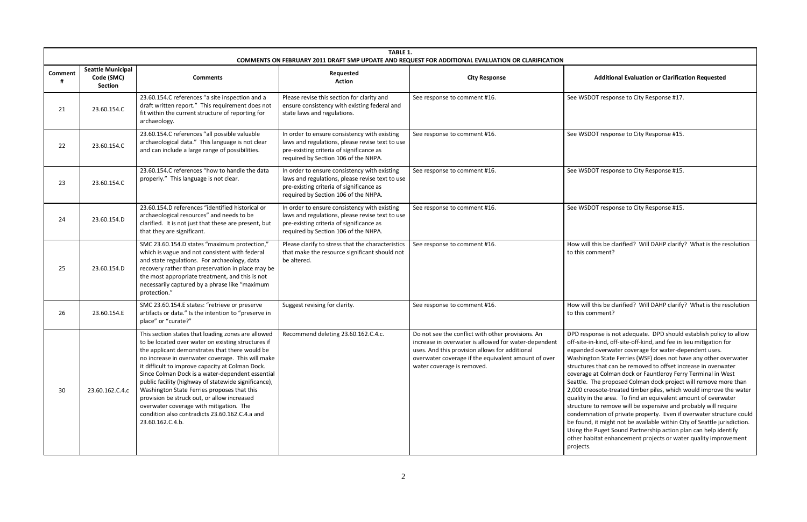**Action City Response Additional Evaluation or Clarification Requested**

OT response to City Response #17.

OOT response to City Response #15.

OT response to City Response #15.

OOT response to City Response #15.

this be clarified? Will DAHP clarify? What is the resolution mment?

this be clarified? Will DAHP clarify? What is the resolution mment?

onse is not adequate. DPD should establish policy to allow n-kind, off-site-off-kind, and fee in lieu mitigation for l overwater coverage for water-dependent uses. ton State Ferries (WSF) does not have any other overwater s that can be removed to offset increase in overwater at Colman dock or Fauntleroy Ferry Terminal in West The proposed Colman dock project will remove more than eosote-treated timber piles, which would improve the water I the area. To find an equivalent amount of overwater to remove will be expensive and probably will require hation of private property. Even if overwater structure could , it might not be available within City of Seattle jurisdiction. Puget Sound Partnership action plan can help identify bitat enhancement projects or water quality improvement

|              |                                                   |                                                                                                                                                                                                                                                                                                                                                                                                                                                                                                                                                                                                | TABLE 1.<br>COMMENTS ON FEBRUARY 2011 DRAFT SMP UPDATE AND REQUEST FOR ADDITIONAL EVALUATION OR CLARIFICATION                                                                       |                                                                                                                                                                                                                                                  |                                                                                                                                                                                                |
|--------------|---------------------------------------------------|------------------------------------------------------------------------------------------------------------------------------------------------------------------------------------------------------------------------------------------------------------------------------------------------------------------------------------------------------------------------------------------------------------------------------------------------------------------------------------------------------------------------------------------------------------------------------------------------|-------------------------------------------------------------------------------------------------------------------------------------------------------------------------------------|--------------------------------------------------------------------------------------------------------------------------------------------------------------------------------------------------------------------------------------------------|------------------------------------------------------------------------------------------------------------------------------------------------------------------------------------------------|
| Comment<br># | <b>Seattle Municipal</b><br>Code (SMC)<br>Section | <b>Comments</b>                                                                                                                                                                                                                                                                                                                                                                                                                                                                                                                                                                                | Requested<br><b>Action</b>                                                                                                                                                          | <b>City Response</b>                                                                                                                                                                                                                             |                                                                                                                                                                                                |
| 21           | 23.60.154.C                                       | 23.60.154.C references "a site inspection and a<br>draft written report." This requirement does not<br>fit within the current structure of reporting for<br>archaeology.                                                                                                                                                                                                                                                                                                                                                                                                                       | Please revise this section for clarity and<br>ensure consistency with existing federal and<br>state laws and regulations.                                                           | See response to comment #16.                                                                                                                                                                                                                     | See WSD                                                                                                                                                                                        |
| 22           | 23.60.154.C                                       | 23.60.154.C references "all possible valuable<br>archaeological data." This language is not clear<br>and can include a large range of possibilities.                                                                                                                                                                                                                                                                                                                                                                                                                                           | In order to ensure consistency with existing<br>laws and regulations, please revise text to use<br>pre-existing criteria of significance as<br>required by Section 106 of the NHPA. | See response to comment #16.                                                                                                                                                                                                                     | See WSD                                                                                                                                                                                        |
| 23           | 23.60.154.C                                       | 23.60.154.C references "how to handle the data<br>properly." This language is not clear.                                                                                                                                                                                                                                                                                                                                                                                                                                                                                                       | In order to ensure consistency with existing<br>laws and regulations, please revise text to use<br>pre-existing criteria of significance as<br>required by Section 106 of the NHPA. | See response to comment #16.                                                                                                                                                                                                                     | See WSD                                                                                                                                                                                        |
| 24           | 23.60.154.D                                       | 23.60.154.D references "identified historical or<br>archaeological resources" and needs to be<br>clarified. It is not just that these are present, but<br>that they are significant.                                                                                                                                                                                                                                                                                                                                                                                                           | In order to ensure consistency with existing<br>laws and regulations, please revise text to use<br>pre-existing criteria of significance as<br>required by Section 106 of the NHPA. | See response to comment #16.                                                                                                                                                                                                                     | See WSD                                                                                                                                                                                        |
| 25           | 23.60.154.D                                       | SMC 23.60.154.D states "maximum protection,"<br>which is vague and not consistent with federal<br>and state regulations. For archaeology, data<br>recovery rather than preservation in place may be<br>the most appropriate treatment, and this is not<br>necessarily captured by a phrase like "maximum<br>protection."                                                                                                                                                                                                                                                                       | Please clarify to stress that the characteristics<br>that make the resource significant should not<br>be altered.                                                                   | See response to comment #16.                                                                                                                                                                                                                     | How will t<br>to this cor                                                                                                                                                                      |
| 26           | 23.60.154.E                                       | SMC 23.60.154.E states: "retrieve or preserve<br>artifacts or data." Is the intention to "preserve in<br>place" or "curate?"                                                                                                                                                                                                                                                                                                                                                                                                                                                                   | Suggest revising for clarity.                                                                                                                                                       | See response to comment #16.                                                                                                                                                                                                                     | How will t<br>to this cor                                                                                                                                                                      |
| 30           | 23.60.162.C.4.c                                   | This section states that loading zones are allowed<br>to be located over water on existing structures if<br>the applicant demonstrates that there would be<br>no increase in overwater coverage. This will make<br>it difficult to improve capacity at Colman Dock.<br>Since Colman Dock is a water-dependent essential<br>public facility (highway of statewide significance),<br>Washington State Ferries proposes that this<br>provision be struck out, or allow increased<br>overwater coverage with mitigation. The<br>condition also contradicts 23.60.162.C.4.a and<br>23.60.162.C.4.b. | Recommend deleting 23.60.162.C.4.c.                                                                                                                                                 | Do not see the conflict with other provisions. An<br>increase in overwater is allowed for water-dependent<br>uses. And this provision allows for additional<br>overwater coverage if the equivalent amount of over<br>water coverage is removed. | DPD resp<br>off-site-in<br>expanded<br>Washingt<br>structures<br>coverage<br>Seattle. T<br>2,000 cre<br>quality in<br>structure<br>condemn<br>be found,<br>Using the<br>other hab<br>projects. |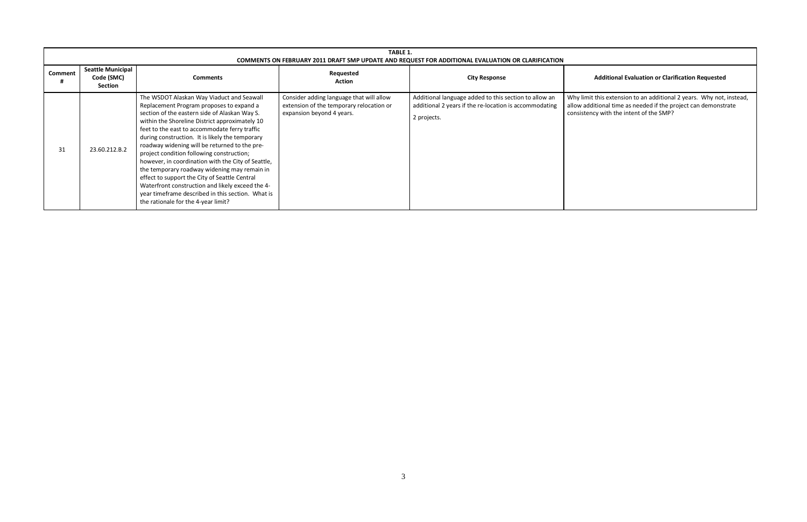## **Action City Response Additional Evaluation or Clarification Requested**

|                     | TABLE 1.<br>COMMENTS ON FEBRUARY 2011 DRAFT SMP UPDATE AND REQUEST FOR ADDITIONAL EVALUATION OR CLARIFICATION |                                                                                                                                                                                                                                                                                                                                                                                                                                                                                                                                                                                                                                                                                                   |                                                                                                                   |                                                                                                                                |                                       |
|---------------------|---------------------------------------------------------------------------------------------------------------|---------------------------------------------------------------------------------------------------------------------------------------------------------------------------------------------------------------------------------------------------------------------------------------------------------------------------------------------------------------------------------------------------------------------------------------------------------------------------------------------------------------------------------------------------------------------------------------------------------------------------------------------------------------------------------------------------|-------------------------------------------------------------------------------------------------------------------|--------------------------------------------------------------------------------------------------------------------------------|---------------------------------------|
| <b>Comment</b><br># | <b>Seattle Municipal</b><br>Code (SMC)<br>Section                                                             | <b>Comments</b>                                                                                                                                                                                                                                                                                                                                                                                                                                                                                                                                                                                                                                                                                   | Requested<br><b>Action</b>                                                                                        | <b>City Response</b>                                                                                                           |                                       |
| 31                  | 23.60.212.B.2                                                                                                 | The WSDOT Alaskan Way Viaduct and Seawall<br>Replacement Program proposes to expand a<br>section of the eastern side of Alaskan Way S.<br>within the Shoreline District approximately 10<br>feet to the east to accommodate ferry traffic<br>during construction. It is likely the temporary<br>roadway widening will be returned to the pre-<br>project condition following construction;<br>however, in coordination with the City of Seattle,<br>the temporary roadway widening may remain in<br>effect to support the City of Seattle Central<br>Waterfront construction and likely exceed the 4-<br>year timeframe described in this section. What is<br>the rationale for the 4-year limit? | Consider adding language that will allow<br>extension of the temporary relocation or<br>expansion beyond 4 years. | Additional language added to this section to allow an<br>additional 2 years if the re-location is accommodating<br>2 projects. | Why limit<br>allow addi<br>consistend |

t this extension to an additional 2 years. Why not, instead, allow additional time as needed if the project can demonstrate consistency with the intent of the SMP?